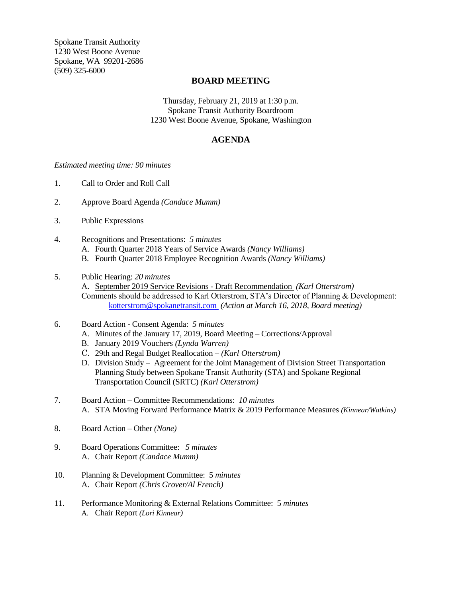Spokane Transit Authority 1230 West Boone Avenue Spokane, WA 99201-2686 (509) 325-6000

## **BOARD MEETING**

Thursday, February 21, 2019 at 1:30 p.m. Spokane Transit Authority Boardroom 1230 West Boone Avenue, Spokane, Washington

# **AGENDA**

### *Estimated meeting time: 90 minutes*

- 1. Call to Order and Roll Call
- 2. Approve Board Agenda *(Candace Mumm)*
- 3. Public Expressions
- 4. Recognitions and Presentations: *5 minutes*
	- A. Fourth Quarter 2018 Years of Service Awards *(Nancy Williams)*
	- B. Fourth Quarter 2018 Employee Recognition Awards *(Nancy Williams)*
- 5. Public Hearing: *20 minutes*
	- A. September 2019 Service Revisions Draft Recommendation *(Karl Otterstrom)* Comments should be addressed to Karl Otterstrom, STA's Director of Planning & Development: [kotterstrom@spokanetransit.com](mailto:kotterstrom@spokanetransit.com) *(Action at March 16, 2018, Board meeting)*
- 6. Board Action Consent Agenda: *5 minutes*
	- A. Minutes of the January 17, 2019, Board Meeting Corrections/Approval
	- B. January 2019 Vouchers *(Lynda Warren)*
	- C. 29th and Regal Budget Reallocation *– (Karl Otterstrom)*
	- D. Division Study Agreement for the Joint Management of Division Street Transportation Planning Study between Spokane Transit Authority (STA) and Spokane Regional Transportation Council (SRTC) *(Karl Otterstrom)*
- 7. Board Action Committee Recommendations: *10 minutes* A. STA Moving Forward Performance Matrix & 2019 Performance Measures *(Kinnear/Watkins)*
- 8. Board Action Other *(None)*
- 9. Board Operations Committee: *5 minutes* A. Chair Report *(Candace Mumm)*
- 10. Planning & Development Committee: 5 *minutes* A. Chair Report *(Chris Grover/Al French)*
- 11. Performance Monitoring & External Relations Committee: 5 *minutes* A. Chair Report *(Lori Kinnear)*